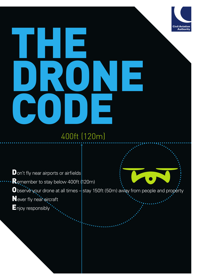# THE DRONE CODE

Civil Aviation<br>Authority

## 400ft (120m)

Don't fly near airports or airfields Remember to stay below 400ft (120m) Observe your drone at all times - stay 150ft (50m) away from people and property Never fly near aircraft Enjoy responsibly